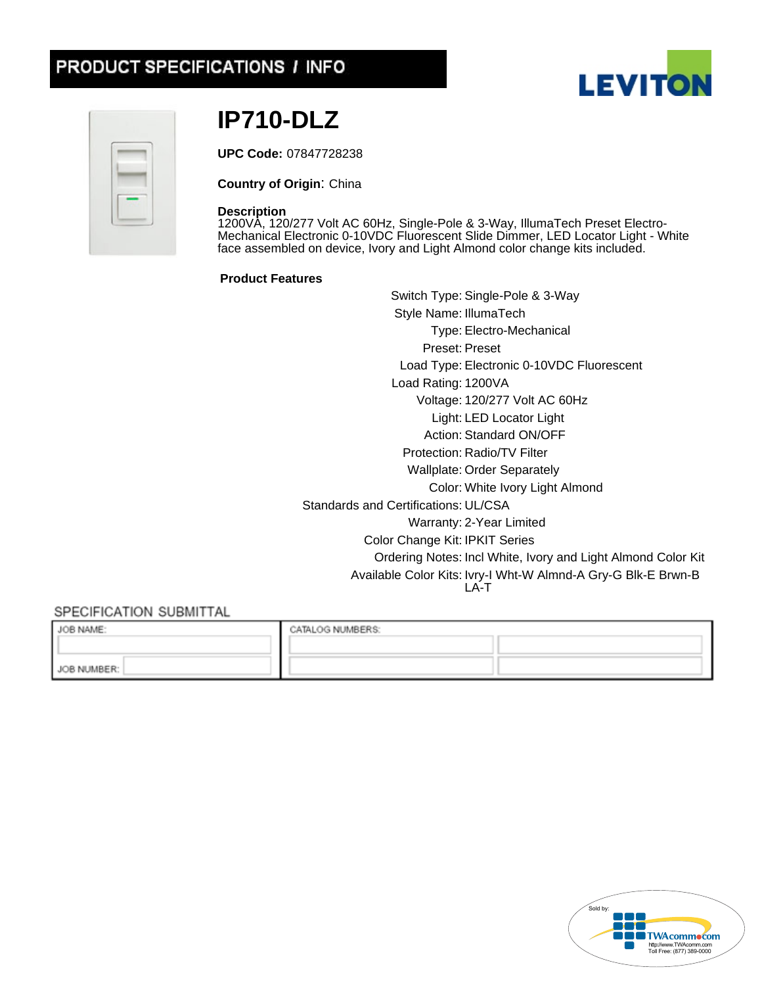# PRODUCT SPECIFICATIONS / INFO



Ċ.

# **IP710-DLZ**

**UPC Code:** 07847728238

**Country of Origin**: China

#### **Description**

1200VA, 120/277 Volt AC 60Hz, Single-Pole & 3-Way, IllumaTech Preset Electro-Mechanical Electronic 0-10VDC Fluorescent Slide Dimmer, LED Locator Light - White face assembled on device, Ivory and Light Almond color change kits included.

#### **Product Features**

Switch Type: Single-Pole & 3-Way Style Name: IllumaTech Type: Electro-Mechanical Preset: Preset Load Type: Electronic 0-10VDC Fluorescent Load Rating: 1200VA Voltage:120/277 Volt AC 60Hz Light: LED Locator Light Action: Standard ON/OFF Protection: Radio/TV Filter Wallplate: Order Separately Color: White Ivory Light Almond Standards and Certifications: UL/CSA Warranty:2-Year Limited Color Change Kit: IPKIT Series Ordering Notes: Incl White, Ivory and Light Almond Color Kit Available Color Kits: Ivry-I Wht-W Almnd-A Gry-G Blk-E Brwn-B LA-T

# SPECIFICATION SUBMITTAL

| JOB NAME:   | CATALOG NUMBERS: |  |
|-------------|------------------|--|
|             |                  |  |
| JOB NUMBER: |                  |  |